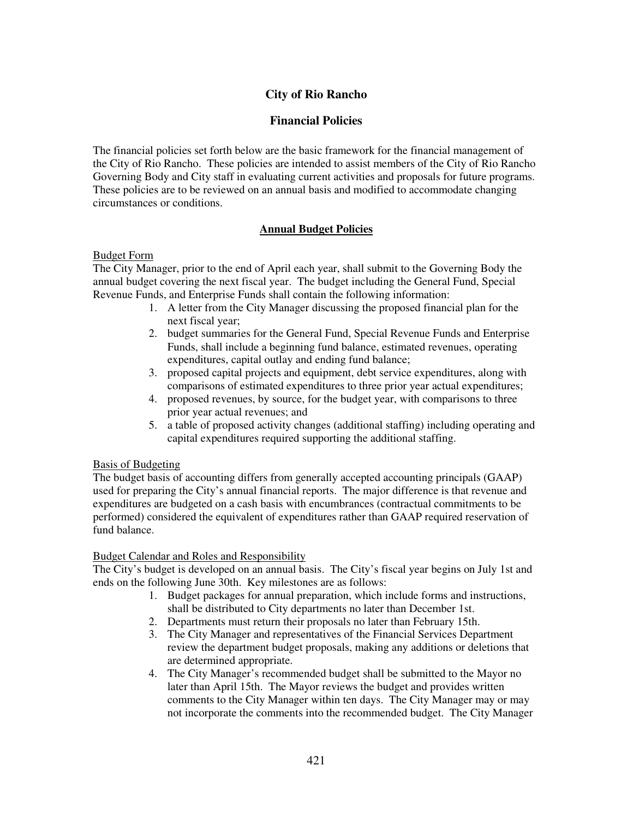# **City of Rio Rancho**

# **Financial Policies**

The financial policies set forth below are the basic framework for the financial management of the City of Rio Rancho. These policies are intended to assist members of the City of Rio Rancho Governing Body and City staff in evaluating current activities and proposals for future programs. These policies are to be reviewed on an annual basis and modified to accommodate changing circumstances or conditions.

# **Annual Budget Policies**

## Budget Form

The City Manager, prior to the end of April each year, shall submit to the Governing Body the annual budget covering the next fiscal year. The budget including the General Fund, Special Revenue Funds, and Enterprise Funds shall contain the following information:

- 1. A letter from the City Manager discussing the proposed financial plan for the next fiscal year;
- 2. budget summaries for the General Fund, Special Revenue Funds and Enterprise Funds, shall include a beginning fund balance, estimated revenues, operating expenditures, capital outlay and ending fund balance;
- 3. proposed capital projects and equipment, debt service expenditures, along with comparisons of estimated expenditures to three prior year actual expenditures;
- 4. proposed revenues, by source, for the budget year, with comparisons to three prior year actual revenues; and
- 5. a table of proposed activity changes (additional staffing) including operating and capital expenditures required supporting the additional staffing.

## Basis of Budgeting

The budget basis of accounting differs from generally accepted accounting principals (GAAP) used for preparing the City's annual financial reports. The major difference is that revenue and expenditures are budgeted on a cash basis with encumbrances (contractual commitments to be performed) considered the equivalent of expenditures rather than GAAP required reservation of fund balance.

## Budget Calendar and Roles and Responsibility

The City's budget is developed on an annual basis. The City's fiscal year begins on July 1st and ends on the following June 30th. Key milestones are as follows:

- 1. Budget packages for annual preparation, which include forms and instructions, shall be distributed to City departments no later than December 1st.
- 2. Departments must return their proposals no later than February 15th.
- 3. The City Manager and representatives of the Financial Services Department review the department budget proposals, making any additions or deletions that are determined appropriate.
- 4. The City Manager's recommended budget shall be submitted to the Mayor no later than April 15th. The Mayor reviews the budget and provides written comments to the City Manager within ten days. The City Manager may or may not incorporate the comments into the recommended budget. The City Manager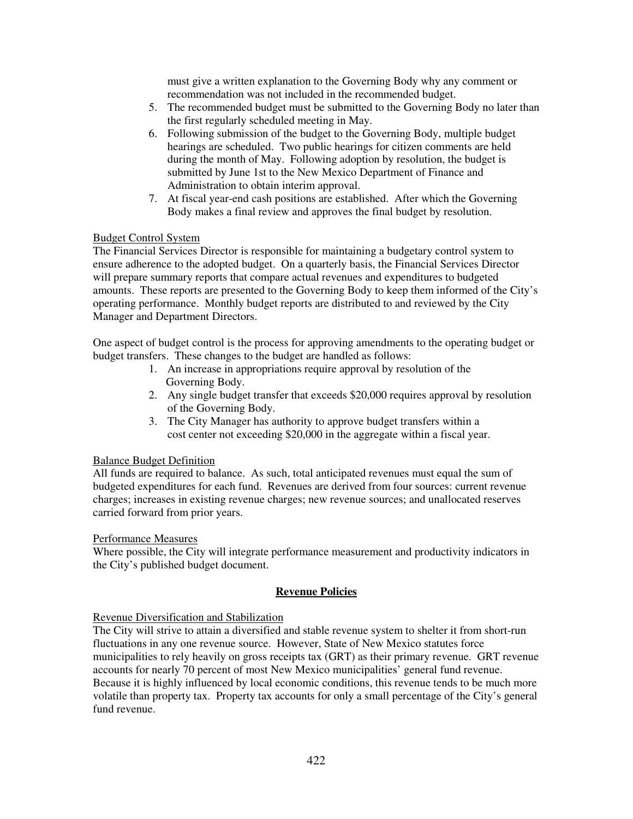must give a written explanation to the Governing Body why any comment or recommendation was not included in the recommended budget.

- 5. The recommended budget must be submitted to the Governing Body no later than the first regularly scheduled meeting in May.
- 6. Following submission of the budget to the Governing Body, multiple budget hearings are scheduled. Two public hearings for citizen comments are held during the month of May. Following adoption by resolution, the budget is submitted by June 1st to the New Mexico Department of Finance and Administration to obtain interim approval.
- 7. At fiscal year-end cash positions are established. After which the Governing Body makes a final review and approves the final budget by resolution.

### Budget Control System

The Financial Services Director is responsible for maintaining a budgetary control system to ensure adherence to the adopted budget. On a quarterly basis, the Financial Services Director will prepare summary reports that compare actual revenues and expenditures to budgeted amounts. These reports are presented to the Governing Body to keep them informed of the City's operating performance. Monthly budget reports are distributed to and reviewed by the City Manager and Department Directors.

One aspect of budget control is the process for approving amendments to the operating budget or budget transfers. These changes to the budget are handled as follows:

- 1. An increase in appropriations require approval by resolution of the Governing Body.
- 2. Any single budget transfer that exceeds \$20,000 requires approval by resolution of the Governing Body.
- 3. The City Manager has authority to approve budget transfers within a cost center not exceeding \$20,000 in the aggregate within a fiscal year.

## Balance Budget Definition

All funds are required to balance. As such, total anticipated revenues must equal the sum of budgeted expenditures for each fund. Revenues are derived from four sources: current revenue charges; increases in existing revenue charges; new revenue sources; and unallocated reserves carried forward from prior years.

#### Performance Measures

Where possible, the City will integrate performance measurement and productivity indicators in the City's published budget document.

## **Revenue Policies**

#### Revenue Diversification and Stabilization

The City will strive to attain a diversified and stable revenue system to shelter it from short-run fluctuations in any one revenue source. However, State of New Mexico statutes force municipalities to rely heavily on gross receipts tax (GRT) as their primary revenue. GRT revenue accounts for nearly 70 percent of most New Mexico municipalities' general fund revenue. Because it is highly influenced by local economic conditions, this revenue tends to be much more volatile than property tax. Property tax accounts for only a small percentage of the City's general fund revenue.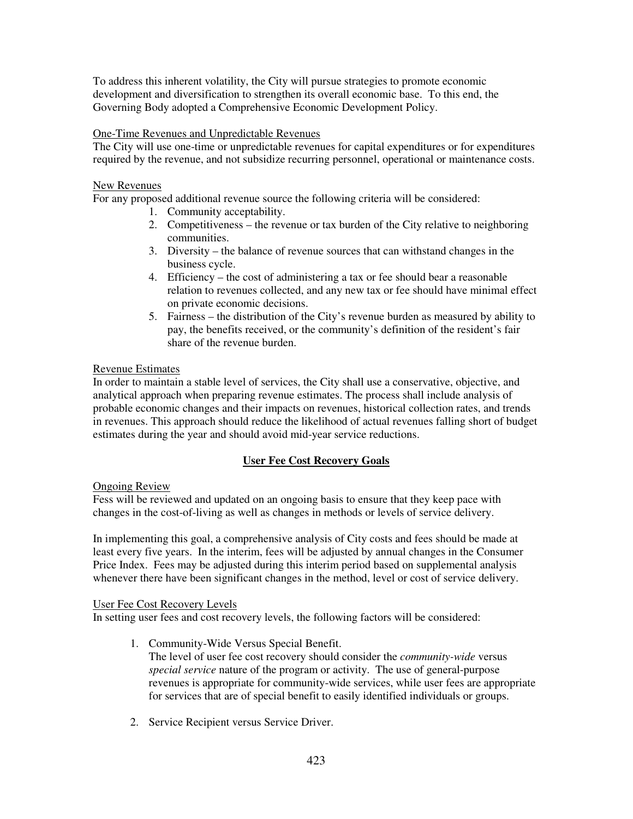To address this inherent volatility, the City will pursue strategies to promote economic development and diversification to strengthen its overall economic base. To this end, the Governing Body adopted a Comprehensive Economic Development Policy.

# One-Time Revenues and Unpredictable Revenues

The City will use one-time or unpredictable revenues for capital expenditures or for expenditures required by the revenue, and not subsidize recurring personnel, operational or maintenance costs.

# New Revenues

For any proposed additional revenue source the following criteria will be considered:

- 1. Community acceptability.
- 2. Competitiveness the revenue or tax burden of the City relative to neighboring communities.
- 3. Diversity the balance of revenue sources that can withstand changes in the business cycle.
- 4. Efficiency the cost of administering a tax or fee should bear a reasonable relation to revenues collected, and any new tax or fee should have minimal effect on private economic decisions.
- 5. Fairness the distribution of the City's revenue burden as measured by ability to pay, the benefits received, or the community's definition of the resident's fair share of the revenue burden.

# Revenue Estimates

In order to maintain a stable level of services, the City shall use a conservative, objective, and analytical approach when preparing revenue estimates. The process shall include analysis of probable economic changes and their impacts on revenues, historical collection rates, and trends in revenues. This approach should reduce the likelihood of actual revenues falling short of budget estimates during the year and should avoid mid-year service reductions.

# **User Fee Cost Recovery Goals**

# Ongoing Review

Fess will be reviewed and updated on an ongoing basis to ensure that they keep pace with changes in the cost-of-living as well as changes in methods or levels of service delivery.

In implementing this goal, a comprehensive analysis of City costs and fees should be made at least every five years. In the interim, fees will be adjusted by annual changes in the Consumer Price Index. Fees may be adjusted during this interim period based on supplemental analysis whenever there have been significant changes in the method, level or cost of service delivery.

## User Fee Cost Recovery Levels

In setting user fees and cost recovery levels, the following factors will be considered:

1. Community-Wide Versus Special Benefit.

The level of user fee cost recovery should consider the *community-wide* versus *special service* nature of the program or activity. The use of general-purpose revenues is appropriate for community-wide services, while user fees are appropriate for services that are of special benefit to easily identified individuals or groups.

2. Service Recipient versus Service Driver.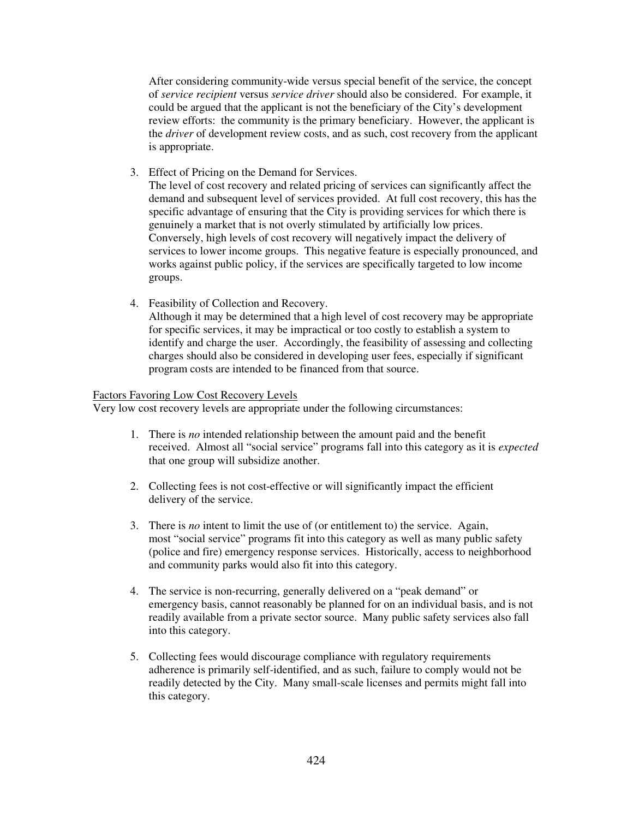After considering community-wide versus special benefit of the service, the concept of *service recipient* versus *service driver* should also be considered. For example, it could be argued that the applicant is not the beneficiary of the City's development review efforts: the community is the primary beneficiary. However, the applicant is the *driver* of development review costs, and as such, cost recovery from the applicant is appropriate.

3. Effect of Pricing on the Demand for Services.

The level of cost recovery and related pricing of services can significantly affect the demand and subsequent level of services provided. At full cost recovery, this has the specific advantage of ensuring that the City is providing services for which there is genuinely a market that is not overly stimulated by artificially low prices. Conversely, high levels of cost recovery will negatively impact the delivery of services to lower income groups. This negative feature is especially pronounced, and works against public policy, if the services are specifically targeted to low income groups.

4. Feasibility of Collection and Recovery. Although it may be determined that a high level of cost recovery may be appropriate for specific services, it may be impractical or too costly to establish a system to identify and charge the user. Accordingly, the feasibility of assessing and collecting charges should also be considered in developing user fees, especially if significant program costs are intended to be financed from that source.

## Factors Favoring Low Cost Recovery Levels

Very low cost recovery levels are appropriate under the following circumstances:

- 1. There is *no* intended relationship between the amount paid and the benefit received. Almost all "social service" programs fall into this category as it is *expected* that one group will subsidize another.
- 2. Collecting fees is not cost-effective or will significantly impact the efficient delivery of the service.
- 3. There is *no* intent to limit the use of (or entitlement to) the service. Again, most "social service" programs fit into this category as well as many public safety (police and fire) emergency response services. Historically, access to neighborhood and community parks would also fit into this category.
- 4. The service is non-recurring, generally delivered on a "peak demand" or emergency basis, cannot reasonably be planned for on an individual basis, and is not readily available from a private sector source. Many public safety services also fall into this category.
- 5. Collecting fees would discourage compliance with regulatory requirements adherence is primarily self-identified, and as such, failure to comply would not be readily detected by the City. Many small-scale licenses and permits might fall into this category.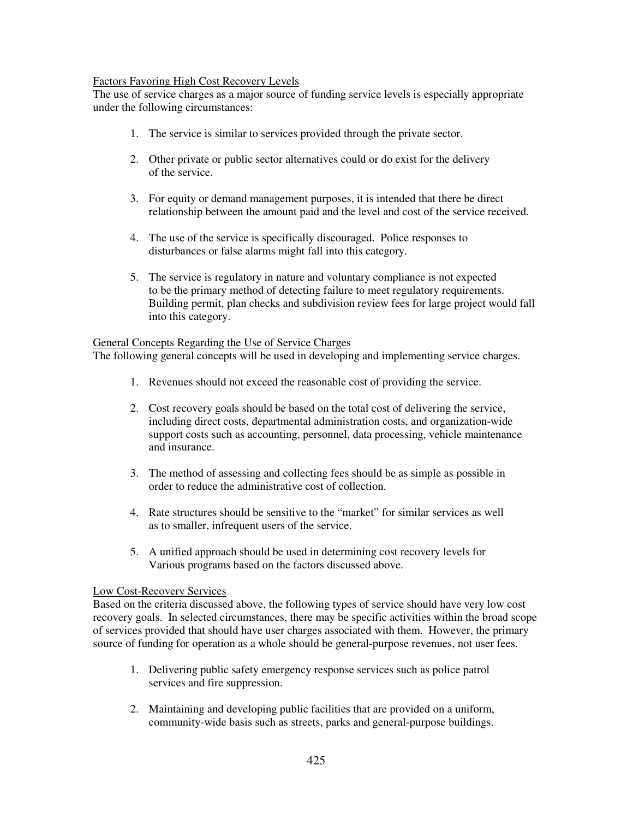# Factors Favoring High Cost Recovery Levels

The use of service charges as a major source of funding service levels is especially appropriate under the following circumstances:

- 1. The service is similar to services provided through the private sector.
- 2. Other private or public sector alternatives could or do exist for the delivery of the service.
- 3. For equity or demand management purposes, it is intended that there be direct relationship between the amount paid and the level and cost of the service received.
- 4. The use of the service is specifically discouraged. Police responses to disturbances or false alarms might fall into this category.
- 5. The service is regulatory in nature and voluntary compliance is not expected to be the primary method of detecting failure to meet regulatory requirements. Building permit, plan checks and subdivision review fees for large project would fall into this category.

# General Concepts Regarding the Use of Service Charges

The following general concepts will be used in developing and implementing service charges.

- 1. Revenues should not exceed the reasonable cost of providing the service.
- 2. Cost recovery goals should be based on the total cost of delivering the service, including direct costs, departmental administration costs, and organization-wide support costs such as accounting, personnel, data processing, vehicle maintenance and insurance.
- 3. The method of assessing and collecting fees should be as simple as possible in order to reduce the administrative cost of collection.
- 4. Rate structures should be sensitive to the "market" for similar services as well as to smaller, infrequent users of the service.
- 5. A unified approach should be used in determining cost recovery levels for Various programs based on the factors discussed above.

## Low Cost-Recovery Services

Based on the criteria discussed above, the following types of service should have very low cost recovery goals. In selected circumstances, there may be specific activities within the broad scope of services provided that should have user charges associated with them. However, the primary source of funding for operation as a whole should be general-purpose revenues, not user fees.

- 1. Delivering public safety emergency response services such as police patrol services and fire suppression.
- 2. Maintaining and developing public facilities that are provided on a uniform, community-wide basis such as streets, parks and general-purpose buildings.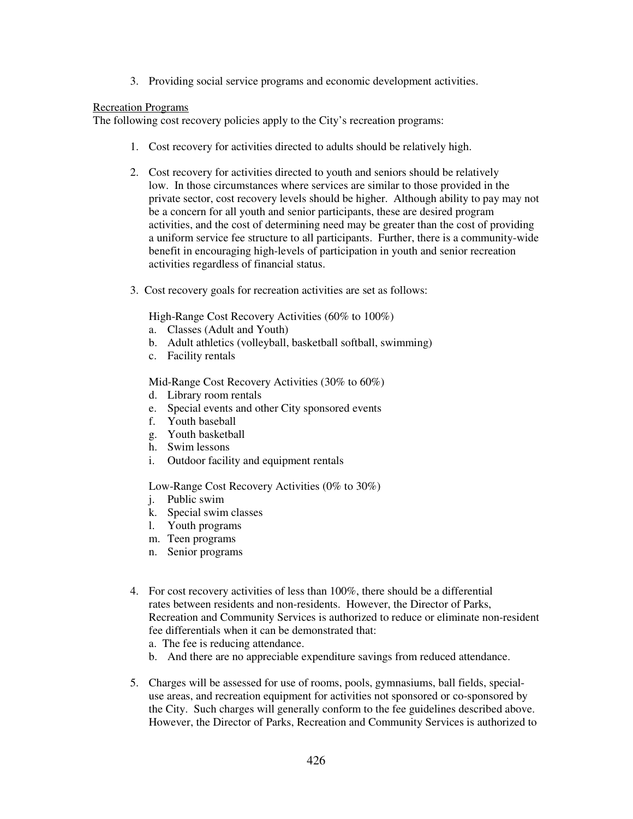3. Providing social service programs and economic development activities.

### Recreation Programs

The following cost recovery policies apply to the City's recreation programs:

- 1. Cost recovery for activities directed to adults should be relatively high.
- 2. Cost recovery for activities directed to youth and seniors should be relatively low. In those circumstances where services are similar to those provided in the private sector, cost recovery levels should be higher. Although ability to pay may not be a concern for all youth and senior participants, these are desired program activities, and the cost of determining need may be greater than the cost of providing a uniform service fee structure to all participants. Further, there is a community-wide benefit in encouraging high-levels of participation in youth and senior recreation activities regardless of financial status.
- 3. Cost recovery goals for recreation activities are set as follows:

High-Range Cost Recovery Activities (60% to 100%)

- a. Classes (Adult and Youth)
- b. Adult athletics (volleyball, basketball softball, swimming)
- c. Facility rentals

Mid-Range Cost Recovery Activities (30% to 60%)

- d. Library room rentals
- e. Special events and other City sponsored events
- f. Youth baseball
- g. Youth basketball
- h. Swim lessons
- i. Outdoor facility and equipment rentals

Low-Range Cost Recovery Activities (0% to 30%)

- j. Public swim
- k. Special swim classes
- l. Youth programs
- m. Teen programs
- n. Senior programs
- 4. For cost recovery activities of less than 100%, there should be a differential rates between residents and non-residents. However, the Director of Parks, Recreation and Community Services is authorized to reduce or eliminate non-resident fee differentials when it can be demonstrated that: a. The fee is reducing attendance.
	-
	- b. And there are no appreciable expenditure savings from reduced attendance.
- 5. Charges will be assessed for use of rooms, pools, gymnasiums, ball fields, specialuse areas, and recreation equipment for activities not sponsored or co-sponsored by the City. Such charges will generally conform to the fee guidelines described above. However, the Director of Parks, Recreation and Community Services is authorized to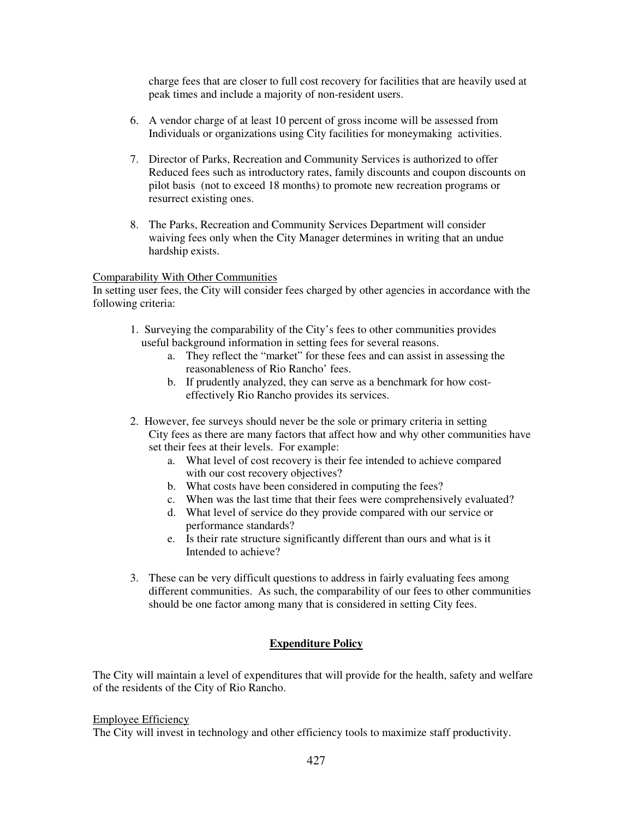charge fees that are closer to full cost recovery for facilities that are heavily used at peak times and include a majority of non-resident users.

- 6. A vendor charge of at least 10 percent of gross income will be assessed from Individuals or organizations using City facilities for moneymaking activities.
- 7. Director of Parks, Recreation and Community Services is authorized to offer Reduced fees such as introductory rates, family discounts and coupon discounts on pilot basis (not to exceed 18 months) to promote new recreation programs or resurrect existing ones.
- 8. The Parks, Recreation and Community Services Department will consider waiving fees only when the City Manager determines in writing that an undue hardship exists.

### Comparability With Other Communities

In setting user fees, the City will consider fees charged by other agencies in accordance with the following criteria:

- 1. Surveying the comparability of the City's fees to other communities provides useful background information in setting fees for several reasons.
	- a. They reflect the "market" for these fees and can assist in assessing the reasonableness of Rio Rancho' fees.
	- b. If prudently analyzed, they can serve as a benchmark for how costeffectively Rio Rancho provides its services.
- 2. However, fee surveys should never be the sole or primary criteria in setting City fees as there are many factors that affect how and why other communities have set their fees at their levels. For example:
	- a. What level of cost recovery is their fee intended to achieve compared with our cost recovery objectives?
	- b. What costs have been considered in computing the fees?
	- c. When was the last time that their fees were comprehensively evaluated?
	- d. What level of service do they provide compared with our service or performance standards?
	- e. Is their rate structure significantly different than ours and what is it Intended to achieve?
- 3. These can be very difficult questions to address in fairly evaluating fees among different communities. As such, the comparability of our fees to other communities should be one factor among many that is considered in setting City fees.

## **Expenditure Policy**

The City will maintain a level of expenditures that will provide for the health, safety and welfare of the residents of the City of Rio Rancho.

#### Employee Efficiency

The City will invest in technology and other efficiency tools to maximize staff productivity.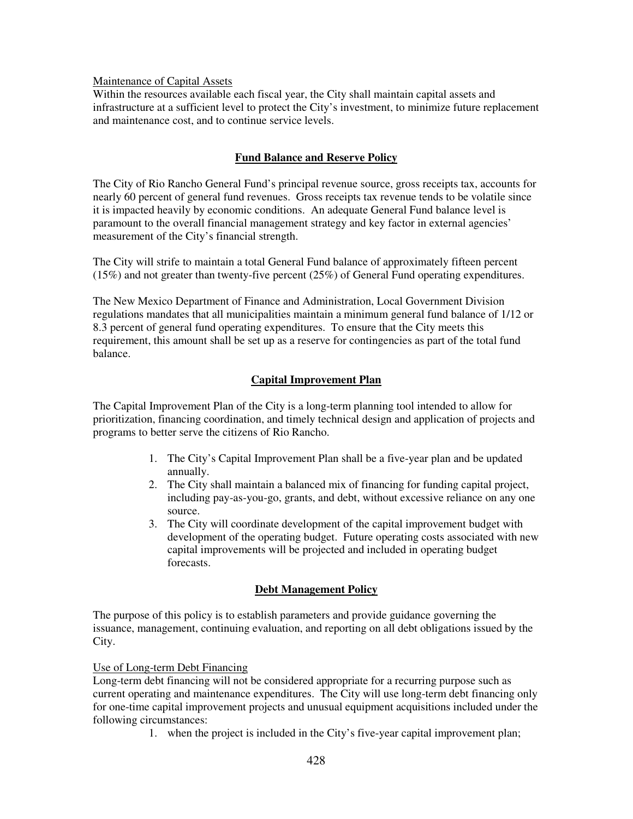### Maintenance of Capital Assets

Within the resources available each fiscal year, the City shall maintain capital assets and infrastructure at a sufficient level to protect the City's investment, to minimize future replacement and maintenance cost, and to continue service levels.

# **Fund Balance and Reserve Policy**

The City of Rio Rancho General Fund's principal revenue source, gross receipts tax, accounts for nearly 60 percent of general fund revenues. Gross receipts tax revenue tends to be volatile since it is impacted heavily by economic conditions. An adequate General Fund balance level is paramount to the overall financial management strategy and key factor in external agencies' measurement of the City's financial strength.

The City will strife to maintain a total General Fund balance of approximately fifteen percent (15%) and not greater than twenty-five percent (25%) of General Fund operating expenditures.

The New Mexico Department of Finance and Administration, Local Government Division regulations mandates that all municipalities maintain a minimum general fund balance of 1/12 or 8.3 percent of general fund operating expenditures. To ensure that the City meets this requirement, this amount shall be set up as a reserve for contingencies as part of the total fund balance.

## **Capital Improvement Plan**

The Capital Improvement Plan of the City is a long-term planning tool intended to allow for prioritization, financing coordination, and timely technical design and application of projects and programs to better serve the citizens of Rio Rancho.

- 1. The City's Capital Improvement Plan shall be a five-year plan and be updated annually.
- 2. The City shall maintain a balanced mix of financing for funding capital project, including pay-as-you-go, grants, and debt, without excessive reliance on any one source.
- 3. The City will coordinate development of the capital improvement budget with development of the operating budget. Future operating costs associated with new capital improvements will be projected and included in operating budget forecasts.

## **Debt Management Policy**

The purpose of this policy is to establish parameters and provide guidance governing the issuance, management, continuing evaluation, and reporting on all debt obligations issued by the City.

## Use of Long-term Debt Financing

Long-term debt financing will not be considered appropriate for a recurring purpose such as current operating and maintenance expenditures. The City will use long-term debt financing only for one-time capital improvement projects and unusual equipment acquisitions included under the following circumstances:

1. when the project is included in the City's five-year capital improvement plan;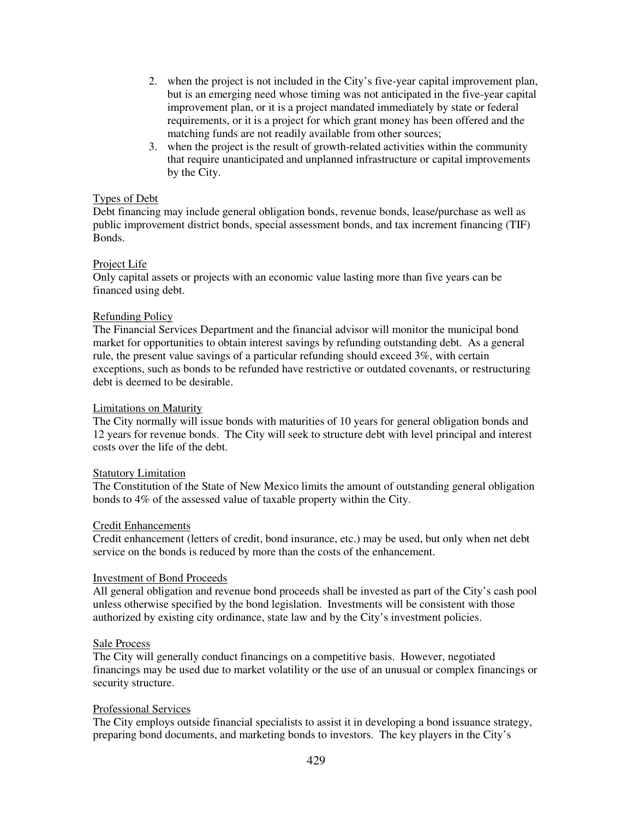- 2. when the project is not included in the City's five-year capital improvement plan, but is an emerging need whose timing was not anticipated in the five-year capital improvement plan, or it is a project mandated immediately by state or federal requirements, or it is a project for which grant money has been offered and the matching funds are not readily available from other sources;
- 3. when the project is the result of growth-related activities within the community that require unanticipated and unplanned infrastructure or capital improvements by the City.

### Types of Debt

Debt financing may include general obligation bonds, revenue bonds, lease/purchase as well as public improvement district bonds, special assessment bonds, and tax increment financing (TIF) Bonds.

### Project Life

Only capital assets or projects with an economic value lasting more than five years can be financed using debt.

### Refunding Policy

The Financial Services Department and the financial advisor will monitor the municipal bond market for opportunities to obtain interest savings by refunding outstanding debt. As a general rule, the present value savings of a particular refunding should exceed 3%, with certain exceptions, such as bonds to be refunded have restrictive or outdated covenants, or restructuring debt is deemed to be desirable.

### Limitations on Maturity

The City normally will issue bonds with maturities of 10 years for general obligation bonds and 12 years for revenue bonds. The City will seek to structure debt with level principal and interest costs over the life of the debt.

#### Statutory Limitation

The Constitution of the State of New Mexico limits the amount of outstanding general obligation bonds to 4% of the assessed value of taxable property within the City.

#### Credit Enhancements

Credit enhancement (letters of credit, bond insurance, etc.) may be used, but only when net debt service on the bonds is reduced by more than the costs of the enhancement.

#### Investment of Bond Proceeds

All general obligation and revenue bond proceeds shall be invested as part of the City's cash pool unless otherwise specified by the bond legislation. Investments will be consistent with those authorized by existing city ordinance, state law and by the City's investment policies.

#### Sale Process

The City will generally conduct financings on a competitive basis. However, negotiated financings may be used due to market volatility or the use of an unusual or complex financings or security structure.

#### Professional Services

The City employs outside financial specialists to assist it in developing a bond issuance strategy, preparing bond documents, and marketing bonds to investors. The key players in the City's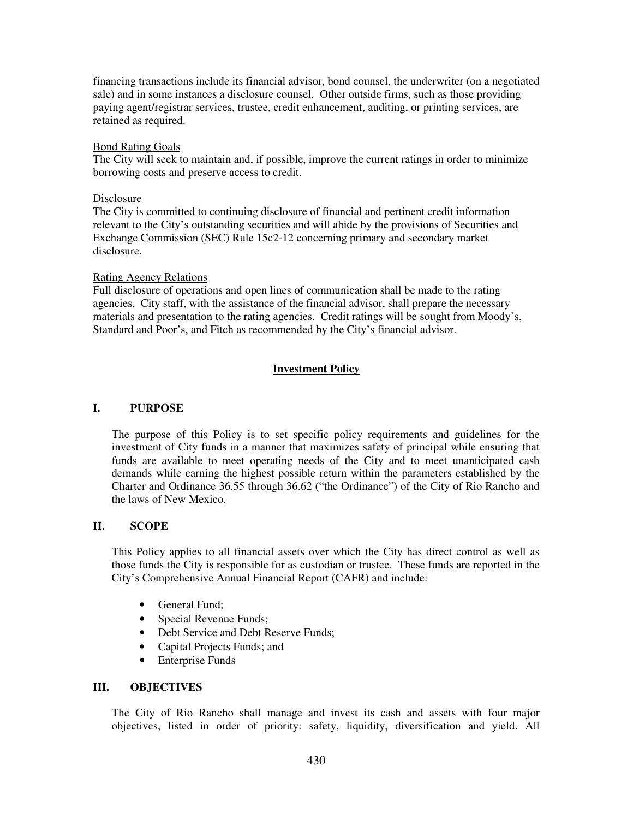financing transactions include its financial advisor, bond counsel, the underwriter (on a negotiated sale) and in some instances a disclosure counsel. Other outside firms, such as those providing paying agent/registrar services, trustee, credit enhancement, auditing, or printing services, are retained as required.

### Bond Rating Goals

The City will seek to maintain and, if possible, improve the current ratings in order to minimize borrowing costs and preserve access to credit.

### Disclosure

The City is committed to continuing disclosure of financial and pertinent credit information relevant to the City's outstanding securities and will abide by the provisions of Securities and Exchange Commission (SEC) Rule 15c2-12 concerning primary and secondary market disclosure.

### Rating Agency Relations

Full disclosure of operations and open lines of communication shall be made to the rating agencies. City staff, with the assistance of the financial advisor, shall prepare the necessary materials and presentation to the rating agencies. Credit ratings will be sought from Moody's, Standard and Poor's, and Fitch as recommended by the City's financial advisor.

# **Investment Policy**

## **I. PURPOSE**

The purpose of this Policy is to set specific policy requirements and guidelines for the investment of City funds in a manner that maximizes safety of principal while ensuring that funds are available to meet operating needs of the City and to meet unanticipated cash demands while earning the highest possible return within the parameters established by the Charter and Ordinance 36.55 through 36.62 ("the Ordinance") of the City of Rio Rancho and the laws of New Mexico.

## **II. SCOPE**

This Policy applies to all financial assets over which the City has direct control as well as those funds the City is responsible for as custodian or trustee. These funds are reported in the City's Comprehensive Annual Financial Report (CAFR) and include:

- General Fund:
- Special Revenue Funds;
- Debt Service and Debt Reserve Funds;
- Capital Projects Funds; and
- Enterprise Funds

#### **III. OBJECTIVES**

The City of Rio Rancho shall manage and invest its cash and assets with four major objectives, listed in order of priority: safety, liquidity, diversification and yield. All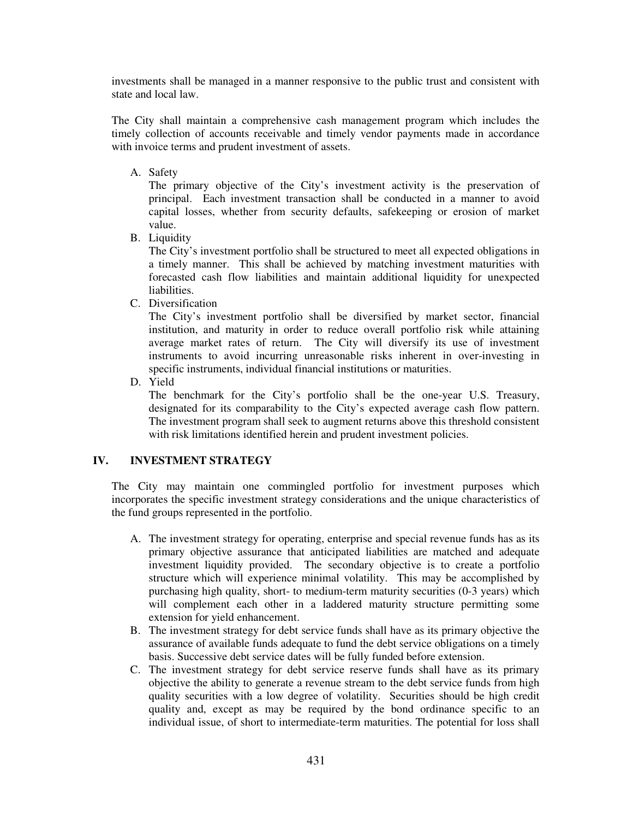investments shall be managed in a manner responsive to the public trust and consistent with state and local law.

The City shall maintain a comprehensive cash management program which includes the timely collection of accounts receivable and timely vendor payments made in accordance with invoice terms and prudent investment of assets.

A. Safety

The primary objective of the City's investment activity is the preservation of principal. Each investment transaction shall be conducted in a manner to avoid capital losses, whether from security defaults, safekeeping or erosion of market value.

B. Liquidity

The City's investment portfolio shall be structured to meet all expected obligations in a timely manner. This shall be achieved by matching investment maturities with forecasted cash flow liabilities and maintain additional liquidity for unexpected liabilities.

C. Diversification

The City's investment portfolio shall be diversified by market sector, financial institution, and maturity in order to reduce overall portfolio risk while attaining average market rates of return. The City will diversify its use of investment instruments to avoid incurring unreasonable risks inherent in over-investing in specific instruments, individual financial institutions or maturities.

D. Yield

The benchmark for the City's portfolio shall be the one-year U.S. Treasury, designated for its comparability to the City's expected average cash flow pattern. The investment program shall seek to augment returns above this threshold consistent with risk limitations identified herein and prudent investment policies.

# **IV. INVESTMENT STRATEGY**

The City may maintain one commingled portfolio for investment purposes which incorporates the specific investment strategy considerations and the unique characteristics of the fund groups represented in the portfolio.

- A. The investment strategy for operating, enterprise and special revenue funds has as its primary objective assurance that anticipated liabilities are matched and adequate investment liquidity provided. The secondary objective is to create a portfolio structure which will experience minimal volatility. This may be accomplished by purchasing high quality, short- to medium-term maturity securities (0-3 years) which will complement each other in a laddered maturity structure permitting some extension for yield enhancement.
- B. The investment strategy for debt service funds shall have as its primary objective the assurance of available funds adequate to fund the debt service obligations on a timely basis. Successive debt service dates will be fully funded before extension.
- C. The investment strategy for debt service reserve funds shall have as its primary objective the ability to generate a revenue stream to the debt service funds from high quality securities with a low degree of volatility. Securities should be high credit quality and, except as may be required by the bond ordinance specific to an individual issue, of short to intermediate-term maturities. The potential for loss shall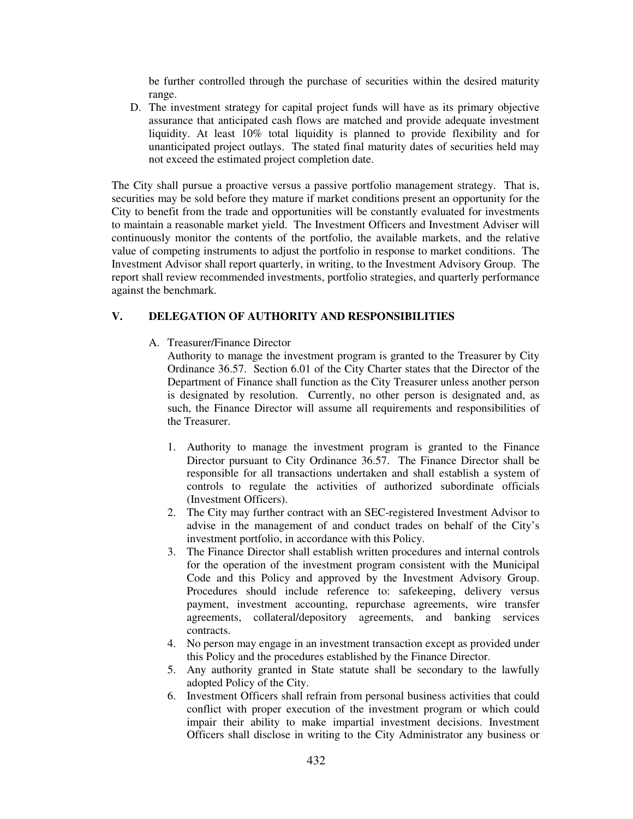be further controlled through the purchase of securities within the desired maturity range.

D. The investment strategy for capital project funds will have as its primary objective assurance that anticipated cash flows are matched and provide adequate investment liquidity. At least 10% total liquidity is planned to provide flexibility and for unanticipated project outlays. The stated final maturity dates of securities held may not exceed the estimated project completion date.

The City shall pursue a proactive versus a passive portfolio management strategy. That is, securities may be sold before they mature if market conditions present an opportunity for the City to benefit from the trade and opportunities will be constantly evaluated for investments to maintain a reasonable market yield. The Investment Officers and Investment Adviser will continuously monitor the contents of the portfolio, the available markets, and the relative value of competing instruments to adjust the portfolio in response to market conditions. The Investment Advisor shall report quarterly, in writing, to the Investment Advisory Group. The report shall review recommended investments, portfolio strategies, and quarterly performance against the benchmark.

## **V. DELEGATION OF AUTHORITY AND RESPONSIBILITIES**

A. Treasurer/Finance Director

Authority to manage the investment program is granted to the Treasurer by City Ordinance 36.57. Section 6.01 of the City Charter states that the Director of the Department of Finance shall function as the City Treasurer unless another person is designated by resolution. Currently, no other person is designated and, as such, the Finance Director will assume all requirements and responsibilities of the Treasurer.

- 1. Authority to manage the investment program is granted to the Finance Director pursuant to City Ordinance 36.57. The Finance Director shall be responsible for all transactions undertaken and shall establish a system of controls to regulate the activities of authorized subordinate officials (Investment Officers).
- 2. The City may further contract with an SEC-registered Investment Advisor to advise in the management of and conduct trades on behalf of the City's investment portfolio, in accordance with this Policy.
- 3. The Finance Director shall establish written procedures and internal controls for the operation of the investment program consistent with the Municipal Code and this Policy and approved by the Investment Advisory Group. Procedures should include reference to: safekeeping, delivery versus payment, investment accounting, repurchase agreements, wire transfer agreements, collateral/depository agreements, and banking services contracts.
- 4. No person may engage in an investment transaction except as provided under this Policy and the procedures established by the Finance Director.
- 5. Any authority granted in State statute shall be secondary to the lawfully adopted Policy of the City.
- 6. Investment Officers shall refrain from personal business activities that could conflict with proper execution of the investment program or which could impair their ability to make impartial investment decisions. Investment Officers shall disclose in writing to the City Administrator any business or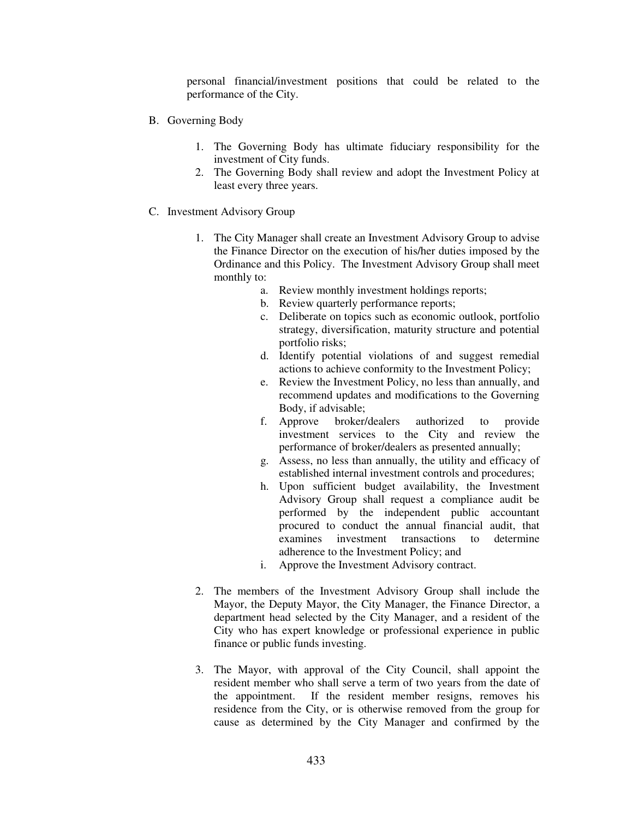personal financial/investment positions that could be related to the performance of the City.

- B. Governing Body
	- 1. The Governing Body has ultimate fiduciary responsibility for the investment of City funds.
	- 2. The Governing Body shall review and adopt the Investment Policy at least every three years.
- C. Investment Advisory Group
	- 1. The City Manager shall create an Investment Advisory Group to advise the Finance Director on the execution of his/her duties imposed by the Ordinance and this Policy. The Investment Advisory Group shall meet monthly to:
		- a. Review monthly investment holdings reports;
		- b. Review quarterly performance reports;
		- c. Deliberate on topics such as economic outlook, portfolio strategy, diversification, maturity structure and potential portfolio risks;
		- d. Identify potential violations of and suggest remedial actions to achieve conformity to the Investment Policy;
		- e. Review the Investment Policy, no less than annually, and recommend updates and modifications to the Governing Body, if advisable;
		- f. Approve broker/dealers authorized to provide investment services to the City and review the performance of broker/dealers as presented annually;
		- g. Assess, no less than annually, the utility and efficacy of established internal investment controls and procedures;
		- h. Upon sufficient budget availability, the Investment Advisory Group shall request a compliance audit be performed by the independent public accountant procured to conduct the annual financial audit, that examines investment transactions to determine adherence to the Investment Policy; and
		- i. Approve the Investment Advisory contract.
	- 2. The members of the Investment Advisory Group shall include the Mayor, the Deputy Mayor, the City Manager, the Finance Director, a department head selected by the City Manager, and a resident of the City who has expert knowledge or professional experience in public finance or public funds investing.
	- 3. The Mayor, with approval of the City Council, shall appoint the resident member who shall serve a term of two years from the date of the appointment. If the resident member resigns, removes his residence from the City, or is otherwise removed from the group for cause as determined by the City Manager and confirmed by the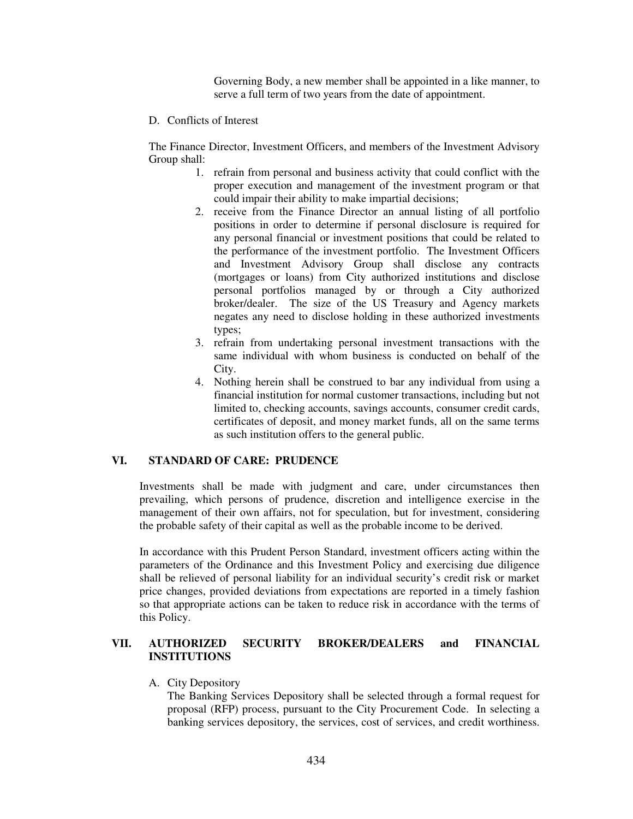Governing Body, a new member shall be appointed in a like manner, to serve a full term of two years from the date of appointment.

D. Conflicts of Interest

The Finance Director, Investment Officers, and members of the Investment Advisory Group shall:

- 1. refrain from personal and business activity that could conflict with the proper execution and management of the investment program or that could impair their ability to make impartial decisions;
- 2. receive from the Finance Director an annual listing of all portfolio positions in order to determine if personal disclosure is required for any personal financial or investment positions that could be related to the performance of the investment portfolio. The Investment Officers and Investment Advisory Group shall disclose any contracts (mortgages or loans) from City authorized institutions and disclose personal portfolios managed by or through a City authorized broker/dealer. The size of the US Treasury and Agency markets negates any need to disclose holding in these authorized investments types;
- 3. refrain from undertaking personal investment transactions with the same individual with whom business is conducted on behalf of the City.
- 4. Nothing herein shall be construed to bar any individual from using a financial institution for normal customer transactions, including but not limited to, checking accounts, savings accounts, consumer credit cards, certificates of deposit, and money market funds, all on the same terms as such institution offers to the general public.

## **VI. STANDARD OF CARE: PRUDENCE**

Investments shall be made with judgment and care, under circumstances then prevailing, which persons of prudence, discretion and intelligence exercise in the management of their own affairs, not for speculation, but for investment, considering the probable safety of their capital as well as the probable income to be derived.

In accordance with this Prudent Person Standard, investment officers acting within the parameters of the Ordinance and this Investment Policy and exercising due diligence shall be relieved of personal liability for an individual security's credit risk or market price changes, provided deviations from expectations are reported in a timely fashion so that appropriate actions can be taken to reduce risk in accordance with the terms of this Policy.

# **VII. AUTHORIZED SECURITY BROKER/DEALERS and FINANCIAL INSTITUTIONS**

A. City Depository

The Banking Services Depository shall be selected through a formal request for proposal (RFP) process, pursuant to the City Procurement Code. In selecting a banking services depository, the services, cost of services, and credit worthiness.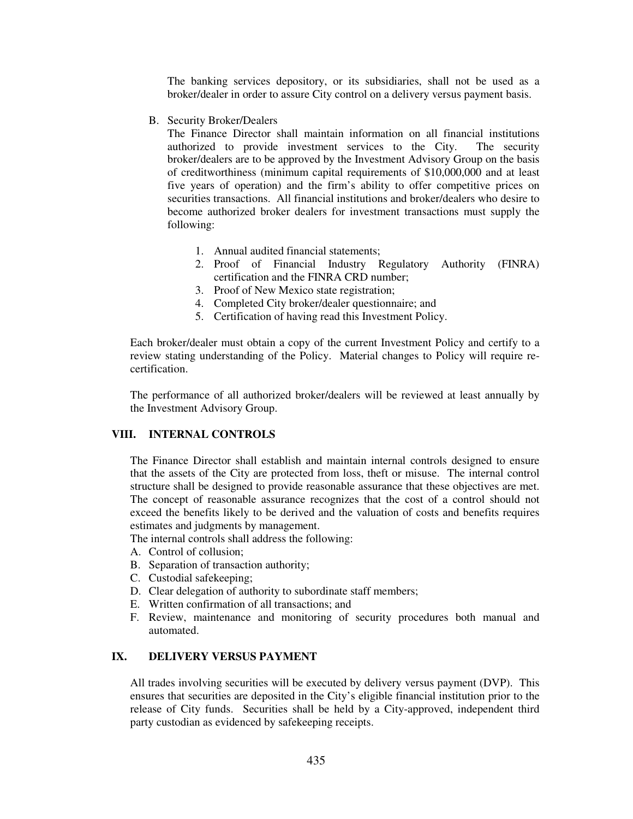The banking services depository, or its subsidiaries, shall not be used as a broker/dealer in order to assure City control on a delivery versus payment basis.

B. Security Broker/Dealers

The Finance Director shall maintain information on all financial institutions authorized to provide investment services to the City. The security broker/dealers are to be approved by the Investment Advisory Group on the basis of creditworthiness (minimum capital requirements of \$10,000,000 and at least five years of operation) and the firm's ability to offer competitive prices on securities transactions. All financial institutions and broker/dealers who desire to become authorized broker dealers for investment transactions must supply the following:

- 1. Annual audited financial statements;
- 2. Proof of Financial Industry Regulatory Authority (FINRA) certification and the FINRA CRD number;
- 3. Proof of New Mexico state registration;
- 4. Completed City broker/dealer questionnaire; and
- 5. Certification of having read this Investment Policy.

Each broker/dealer must obtain a copy of the current Investment Policy and certify to a review stating understanding of the Policy. Material changes to Policy will require recertification.

The performance of all authorized broker/dealers will be reviewed at least annually by the Investment Advisory Group.

### **VIII. INTERNAL CONTROLS**

The Finance Director shall establish and maintain internal controls designed to ensure that the assets of the City are protected from loss, theft or misuse. The internal control structure shall be designed to provide reasonable assurance that these objectives are met. The concept of reasonable assurance recognizes that the cost of a control should not exceed the benefits likely to be derived and the valuation of costs and benefits requires estimates and judgments by management.

The internal controls shall address the following:

- A. Control of collusion;
- B. Separation of transaction authority;
- C. Custodial safekeeping;
- D. Clear delegation of authority to subordinate staff members;
- E. Written confirmation of all transactions; and
- F. Review, maintenance and monitoring of security procedures both manual and automated.

# **IX. DELIVERY VERSUS PAYMENT**

All trades involving securities will be executed by delivery versus payment (DVP). This ensures that securities are deposited in the City's eligible financial institution prior to the release of City funds. Securities shall be held by a City-approved, independent third party custodian as evidenced by safekeeping receipts.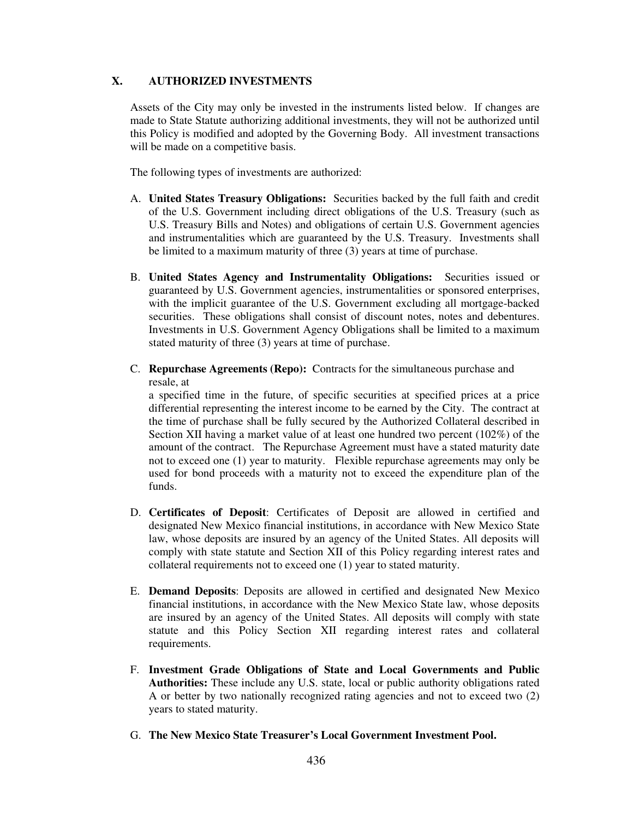# **X. AUTHORIZED INVESTMENTS**

Assets of the City may only be invested in the instruments listed below. If changes are made to State Statute authorizing additional investments, they will not be authorized until this Policy is modified and adopted by the Governing Body. All investment transactions will be made on a competitive basis.

The following types of investments are authorized:

- A. **United States Treasury Obligations:** Securities backed by the full faith and credit of the U.S. Government including direct obligations of the U.S. Treasury (such as U.S. Treasury Bills and Notes) and obligations of certain U.S. Government agencies and instrumentalities which are guaranteed by the U.S. Treasury. Investments shall be limited to a maximum maturity of three (3) years at time of purchase.
- B. **United States Agency and Instrumentality Obligations:** Securities issued or guaranteed by U.S. Government agencies, instrumentalities or sponsored enterprises, with the implicit guarantee of the U.S. Government excluding all mortgage-backed securities. These obligations shall consist of discount notes, notes and debentures. Investments in U.S. Government Agency Obligations shall be limited to a maximum stated maturity of three (3) years at time of purchase.
- C. **Repurchase Agreements (Repo):** Contracts for the simultaneous purchase and resale, at

a specified time in the future, of specific securities at specified prices at a price differential representing the interest income to be earned by the City. The contract at the time of purchase shall be fully secured by the Authorized Collateral described in Section XII having a market value of at least one hundred two percent (102%) of the amount of the contract. The Repurchase Agreement must have a stated maturity date not to exceed one (1) year to maturity. Flexible repurchase agreements may only be used for bond proceeds with a maturity not to exceed the expenditure plan of the funds.

- D. **Certificates of Deposit**: Certificates of Deposit are allowed in certified and designated New Mexico financial institutions, in accordance with New Mexico State law, whose deposits are insured by an agency of the United States. All deposits will comply with state statute and Section XII of this Policy regarding interest rates and collateral requirements not to exceed one (1) year to stated maturity.
- E. **Demand Deposits**: Deposits are allowed in certified and designated New Mexico financial institutions, in accordance with the New Mexico State law, whose deposits are insured by an agency of the United States. All deposits will comply with state statute and this Policy Section XII regarding interest rates and collateral requirements.
- F. **Investment Grade Obligations of State and Local Governments and Public Authorities:** These include any U.S. state, local or public authority obligations rated A or better by two nationally recognized rating agencies and not to exceed two (2) years to stated maturity.
- G. **The New Mexico State Treasurer's Local Government Investment Pool.**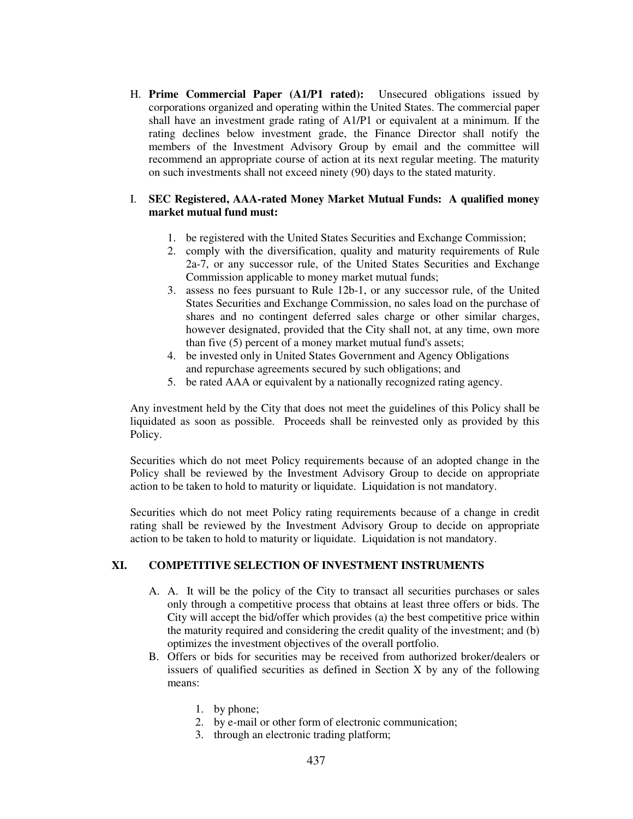H. **Prime Commercial Paper (A1/P1 rated):** Unsecured obligations issued by corporations organized and operating within the United States. The commercial paper shall have an investment grade rating of A1/P1 or equivalent at a minimum. If the rating declines below investment grade, the Finance Director shall notify the members of the Investment Advisory Group by email and the committee will recommend an appropriate course of action at its next regular meeting. The maturity on such investments shall not exceed ninety (90) days to the stated maturity.

### I. **SEC Registered, AAA-rated Money Market Mutual Funds: A qualified money market mutual fund must:**

- 1. be registered with the United States Securities and Exchange Commission;
- 2. comply with the diversification, quality and maturity requirements of Rule 2a-7, or any successor rule, of the United States Securities and Exchange Commission applicable to money market mutual funds;
- 3. assess no fees pursuant to Rule 12b-1, or any successor rule, of the United States Securities and Exchange Commission, no sales load on the purchase of shares and no contingent deferred sales charge or other similar charges, however designated, provided that the City shall not, at any time, own more than five (5) percent of a money market mutual fund's assets;
- 4. be invested only in United States Government and Agency Obligations and repurchase agreements secured by such obligations; and
- 5. be rated AAA or equivalent by a nationally recognized rating agency.

Any investment held by the City that does not meet the guidelines of this Policy shall be liquidated as soon as possible. Proceeds shall be reinvested only as provided by this Policy.

Securities which do not meet Policy requirements because of an adopted change in the Policy shall be reviewed by the Investment Advisory Group to decide on appropriate action to be taken to hold to maturity or liquidate. Liquidation is not mandatory.

Securities which do not meet Policy rating requirements because of a change in credit rating shall be reviewed by the Investment Advisory Group to decide on appropriate action to be taken to hold to maturity or liquidate. Liquidation is not mandatory.

## **XI. COMPETITIVE SELECTION OF INVESTMENT INSTRUMENTS**

- A. A. It will be the policy of the City to transact all securities purchases or sales only through a competitive process that obtains at least three offers or bids. The City will accept the bid/offer which provides (a) the best competitive price within the maturity required and considering the credit quality of the investment; and (b) optimizes the investment objectives of the overall portfolio.
- B. Offers or bids for securities may be received from authorized broker/dealers or issuers of qualified securities as defined in Section X by any of the following means:
	- 1. by phone;
	- 2. by e-mail or other form of electronic communication;
	- 3. through an electronic trading platform;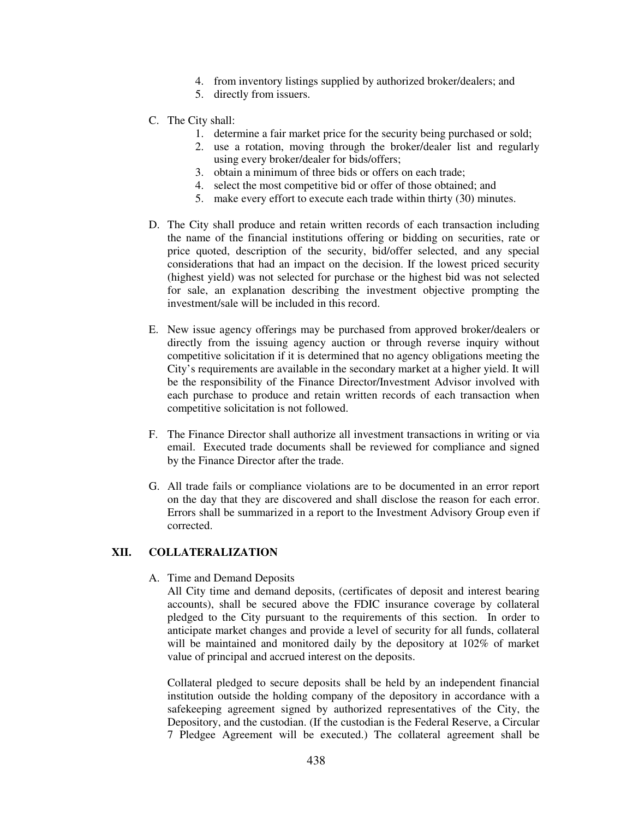- 4. from inventory listings supplied by authorized broker/dealers; and
- 5. directly from issuers.
- C. The City shall:
	- 1. determine a fair market price for the security being purchased or sold;
	- 2. use a rotation, moving through the broker/dealer list and regularly using every broker/dealer for bids/offers;
	- 3. obtain a minimum of three bids or offers on each trade;
	- 4. select the most competitive bid or offer of those obtained; and
	- 5. make every effort to execute each trade within thirty (30) minutes.
- D. The City shall produce and retain written records of each transaction including the name of the financial institutions offering or bidding on securities, rate or price quoted, description of the security, bid/offer selected, and any special considerations that had an impact on the decision. If the lowest priced security (highest yield) was not selected for purchase or the highest bid was not selected for sale, an explanation describing the investment objective prompting the investment/sale will be included in this record.
- E. New issue agency offerings may be purchased from approved broker/dealers or directly from the issuing agency auction or through reverse inquiry without competitive solicitation if it is determined that no agency obligations meeting the City's requirements are available in the secondary market at a higher yield. It will be the responsibility of the Finance Director/Investment Advisor involved with each purchase to produce and retain written records of each transaction when competitive solicitation is not followed.
- F. The Finance Director shall authorize all investment transactions in writing or via email. Executed trade documents shall be reviewed for compliance and signed by the Finance Director after the trade.
- G. All trade fails or compliance violations are to be documented in an error report on the day that they are discovered and shall disclose the reason for each error. Errors shall be summarized in a report to the Investment Advisory Group even if corrected.

## **XII. COLLATERALIZATION**

#### A. Time and Demand Deposits

All City time and demand deposits, (certificates of deposit and interest bearing accounts), shall be secured above the FDIC insurance coverage by collateral pledged to the City pursuant to the requirements of this section. In order to anticipate market changes and provide a level of security for all funds, collateral will be maintained and monitored daily by the depository at 102% of market value of principal and accrued interest on the deposits.

Collateral pledged to secure deposits shall be held by an independent financial institution outside the holding company of the depository in accordance with a safekeeping agreement signed by authorized representatives of the City, the Depository, and the custodian. (If the custodian is the Federal Reserve, a Circular 7 Pledgee Agreement will be executed.) The collateral agreement shall be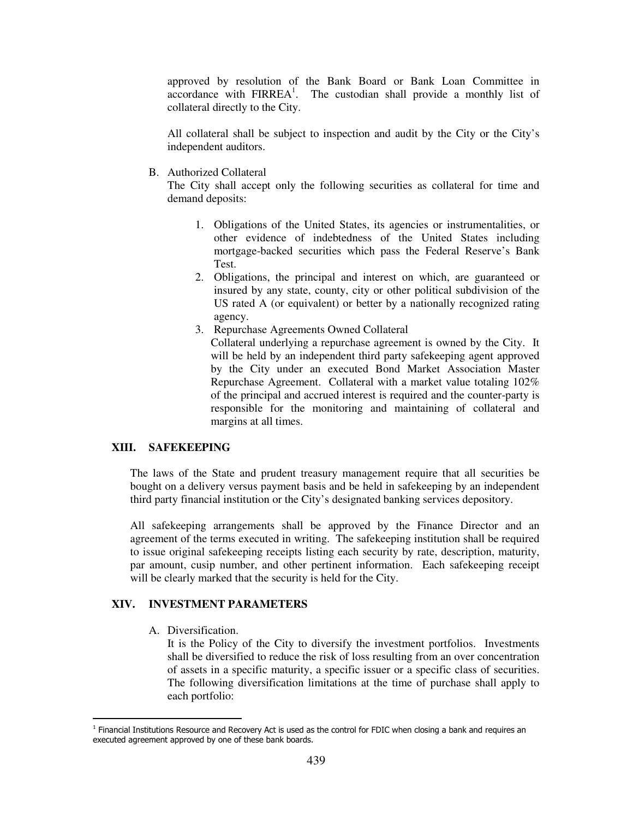approved by resolution of the Bank Board or Bank Loan Committee in accordance with FIRREA<sup>1</sup>. The custodian shall provide a monthly list of collateral directly to the City.

All collateral shall be subject to inspection and audit by the City or the City's independent auditors.

B. Authorized Collateral

The City shall accept only the following securities as collateral for time and demand deposits:

- 1. Obligations of the United States, its agencies or instrumentalities, or other evidence of indebtedness of the United States including mortgage-backed securities which pass the Federal Reserve's Bank Test.
- 2. Obligations, the principal and interest on which, are guaranteed or insured by any state, county, city or other political subdivision of the US rated A (or equivalent) or better by a nationally recognized rating agency.
- 3. Repurchase Agreements Owned Collateral
	- Collateral underlying a repurchase agreement is owned by the City. It will be held by an independent third party safekeeping agent approved by the City under an executed Bond Market Association Master Repurchase Agreement. Collateral with a market value totaling 102% of the principal and accrued interest is required and the counter-party is responsible for the monitoring and maintaining of collateral and margins at all times.

#### **XIII. SAFEKEEPING**

The laws of the State and prudent treasury management require that all securities be bought on a delivery versus payment basis and be held in safekeeping by an independent third party financial institution or the City's designated banking services depository.

All safekeeping arrangements shall be approved by the Finance Director and an agreement of the terms executed in writing. The safekeeping institution shall be required to issue original safekeeping receipts listing each security by rate, description, maturity, par amount, cusip number, and other pertinent information. Each safekeeping receipt will be clearly marked that the security is held for the City.

### **XIV. INVESTMENT PARAMETERS**

A. Diversification.

 $\overline{a}$ 

It is the Policy of the City to diversify the investment portfolios. Investments shall be diversified to reduce the risk of loss resulting from an over concentration of assets in a specific maturity, a specific issuer or a specific class of securities. The following diversification limitations at the time of purchase shall apply to each portfolio:

<sup>&</sup>lt;sup>1</sup> Financial Institutions Resource and Recovery Act is used as the control for FDIC when closing a bank and requires an executed agreement approved by one of these bank boards.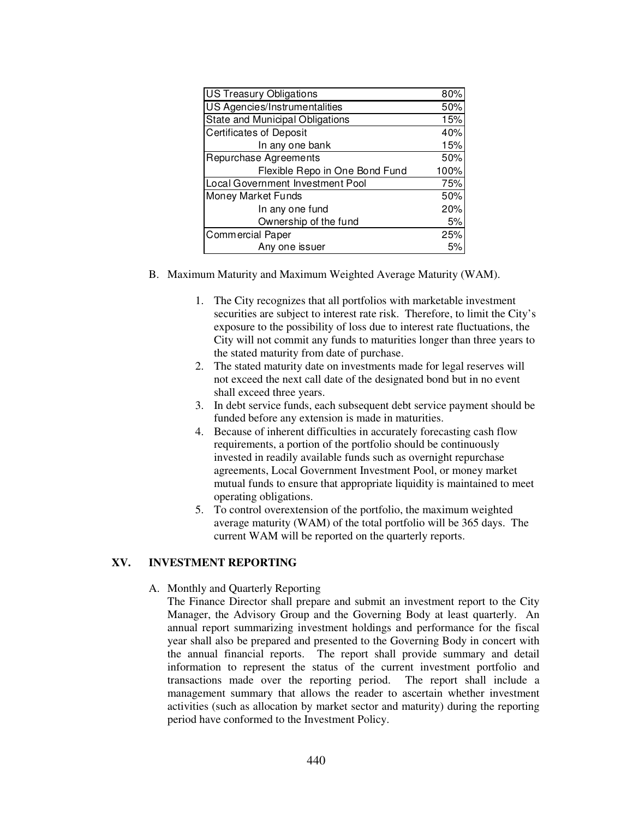| <b>US Treasury Obligations</b>         | 80%  |
|----------------------------------------|------|
| US Agencies/Instrumentalities          | 50%  |
| <b>State and Municipal Obligations</b> | 15%  |
| <b>Certificates of Deposit</b>         | 40%  |
| In any one bank                        | 15%  |
| Repurchase Agreements                  | 50%  |
| Flexible Repo in One Bond Fund         | 100% |
| Local Government Investment Pool       | 75%  |
| Money Market Funds                     | 50%  |
| In any one fund                        | 20%  |
| Ownership of the fund                  | 5%   |
| <b>Commercial Paper</b>                | 25%  |
| Any one issuer                         |      |

- B. Maximum Maturity and Maximum Weighted Average Maturity (WAM).
	- 1. The City recognizes that all portfolios with marketable investment securities are subject to interest rate risk. Therefore, to limit the City's exposure to the possibility of loss due to interest rate fluctuations, the City will not commit any funds to maturities longer than three years to the stated maturity from date of purchase.
	- 2. The stated maturity date on investments made for legal reserves will not exceed the next call date of the designated bond but in no event shall exceed three years.
	- 3. In debt service funds, each subsequent debt service payment should be funded before any extension is made in maturities.
	- 4. Because of inherent difficulties in accurately forecasting cash flow requirements, a portion of the portfolio should be continuously invested in readily available funds such as overnight repurchase agreements, Local Government Investment Pool, or money market mutual funds to ensure that appropriate liquidity is maintained to meet operating obligations.
	- 5. To control overextension of the portfolio, the maximum weighted average maturity (WAM) of the total portfolio will be 365 days. The current WAM will be reported on the quarterly reports.

# **XV. INVESTMENT REPORTING**

### A. Monthly and Quarterly Reporting

The Finance Director shall prepare and submit an investment report to the City Manager, the Advisory Group and the Governing Body at least quarterly. An annual report summarizing investment holdings and performance for the fiscal year shall also be prepared and presented to the Governing Body in concert with the annual financial reports. The report shall provide summary and detail information to represent the status of the current investment portfolio and transactions made over the reporting period. The report shall include a management summary that allows the reader to ascertain whether investment activities (such as allocation by market sector and maturity) during the reporting period have conformed to the Investment Policy.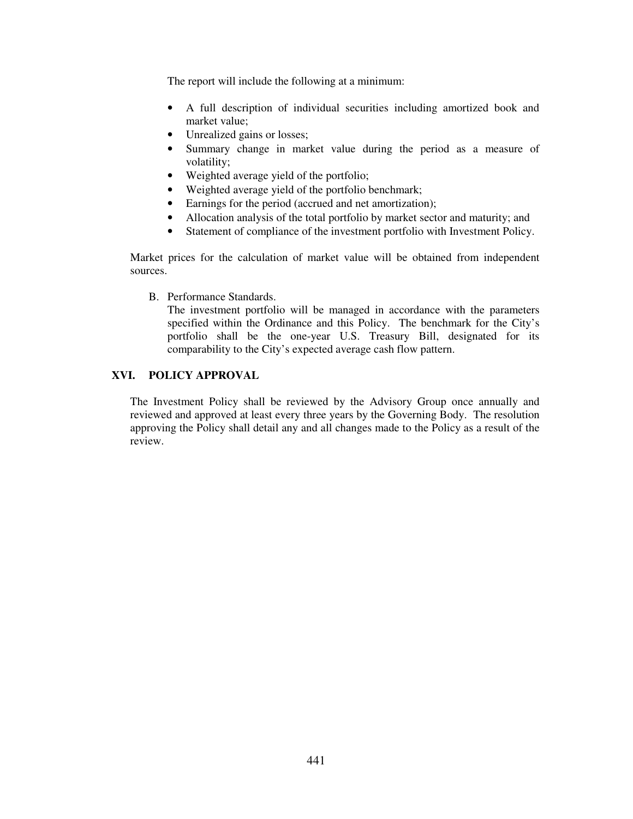The report will include the following at a minimum:

- A full description of individual securities including amortized book and market value;
- Unrealized gains or losses;
- Summary change in market value during the period as a measure of volatility;
- Weighted average yield of the portfolio;
- Weighted average yield of the portfolio benchmark;
- Earnings for the period (accrued and net amortization);
- Allocation analysis of the total portfolio by market sector and maturity; and
- Statement of compliance of the investment portfolio with Investment Policy.

Market prices for the calculation of market value will be obtained from independent sources.

B. Performance Standards.

The investment portfolio will be managed in accordance with the parameters specified within the Ordinance and this Policy. The benchmark for the City's portfolio shall be the one-year U.S. Treasury Bill, designated for its comparability to the City's expected average cash flow pattern.

# **XVI. POLICY APPROVAL**

The Investment Policy shall be reviewed by the Advisory Group once annually and reviewed and approved at least every three years by the Governing Body. The resolution approving the Policy shall detail any and all changes made to the Policy as a result of the review.